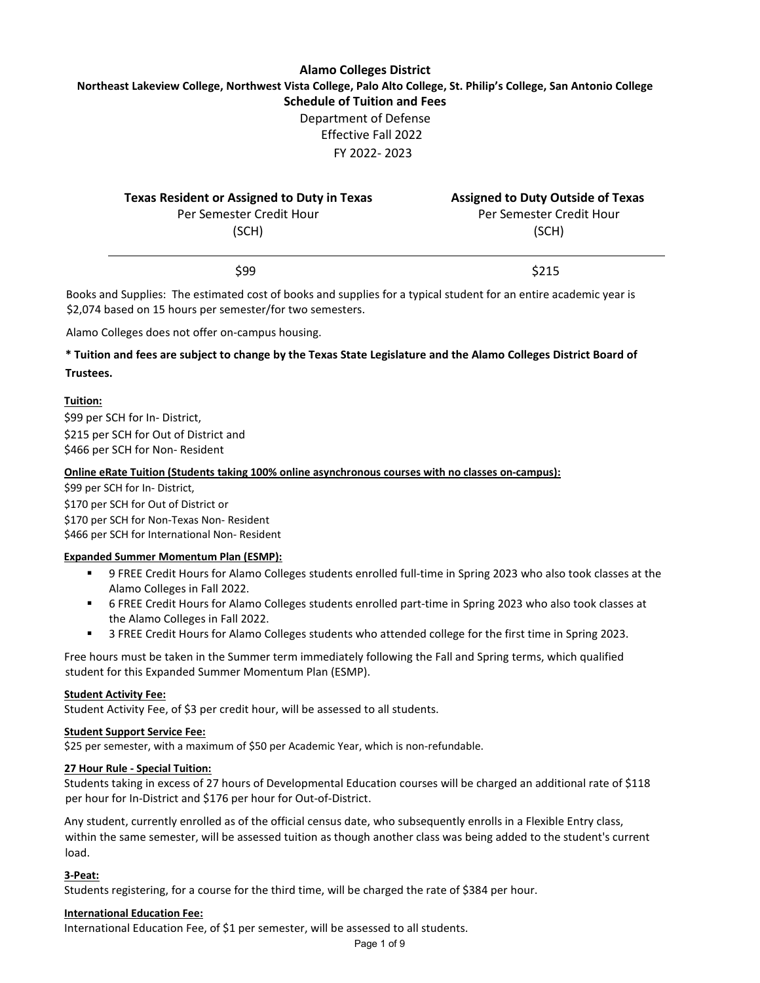# **Alamo Colleges District Northeast Lakeview College, Northwest Vista College, Palo Alto College, St. Philip's College, San Antonio College Schedule of Tuition and Fees** Department of Defense Effective Fall 2022 FY 2022- 2023

| <b>Texas Resident or Assigned to Duty in Texas</b> | <b>Assigned to Duty Outside of Texas</b> |
|----------------------------------------------------|------------------------------------------|
| Per Semester Credit Hour                           | Per Semester Credit Hour                 |
| (SCH)                                              | (SCH)                                    |
|                                                    |                                          |

 $$99$   $$215$ 

Books and Supplies: The estimated cost of books and supplies for a typical student for an entire academic year is \$2,074 based on 15 hours per semester/for two semesters.

Alamo Colleges does not offer on-campus housing.

## **\* Tuition and fees are subject to change by the Texas State Legislature and the Alamo Colleges District Board of Trustees.**

## **Tuition:**

\$99 per SCH for In- District, \$215 per SCH for Out of District and \$466 per SCH for Non- Resident

## **Online eRate Tuition (Students taking 100% online asynchronous courses with no classes on-campus):**

\$99 per SCH for In- District, \$170 per SCH for Out of District or \$170 per SCH for Non-Texas Non- Resident \$466 per SCH for International Non- Resident

## **Expanded Summer Momentum Plan (ESMP):**

- 9 FREE Credit Hours for Alamo Colleges students enrolled full-time in Spring 2023 who also took classes at the Alamo Colleges in Fall 2022.
- 6 FREE Credit Hours for Alamo Colleges students enrolled part-time in Spring 2023 who also took classes at the Alamo Colleges in Fall 2022.
- 3 FREE Credit Hours for Alamo Colleges students who attended college for the first time in Spring 2023.

Free hours must be taken in the Summer term immediately following the Fall and Spring terms, which qualified student for this Expanded Summer Momentum Plan (ESMP).

#### **Student Activity Fee:**

Student Activity Fee, of \$3 per credit hour, will be assessed to all students.

#### **Student Support Service Fee:**

\$25 per semester, with a maximum of \$50 per Academic Year, which is non-refundable.

#### **27 Hour Rule - Special Tuition:**

Students taking in excess of 27 hours of Developmental Education courses will be charged an additional rate of \$118 per hour for In-District and \$176 per hour for Out-of-District.

Any student, currently enrolled as of the official census date, who subsequently enrolls in a Flexible Entry class, within the same semester, will be assessed tuition as though another class was being added to the student's current load.

## **3-Peat:**

Students registering, for a course for the third time, will be charged the rate of \$384 per hour.

#### **International Education Fee:**

International Education Fee, of \$1 per semester, will be assessed to all students.

Page 1 of 9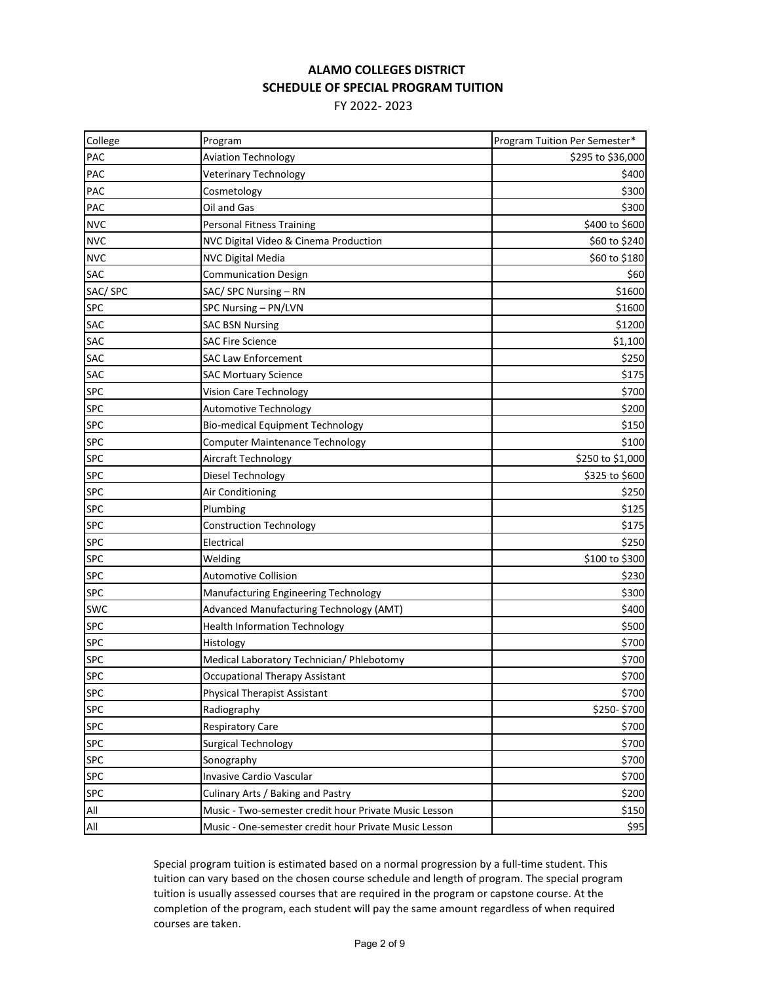# **ALAMO COLLEGES DISTRICT SCHEDULE OF SPECIAL PROGRAM TUITION**

FY 2022- 2023

| College    | Program                                               | Program Tuition Per Semester* |
|------------|-------------------------------------------------------|-------------------------------|
| PAC        | <b>Aviation Technology</b>                            | \$295 to \$36,000             |
| PAC        | <b>Veterinary Technology</b>                          | \$400                         |
| PAC        | Cosmetology                                           | \$300                         |
| PAC        | Oil and Gas                                           | \$300                         |
| <b>NVC</b> | Personal Fitness Training                             | \$400 to \$600                |
| <b>NVC</b> | NVC Digital Video & Cinema Production                 | \$60 to \$240                 |
| <b>NVC</b> | <b>NVC Digital Media</b>                              | \$60 to \$180                 |
| SAC        | <b>Communication Design</b>                           | \$60                          |
| SAC/SPC    | SAC/ SPC Nursing - RN                                 | \$1600                        |
| <b>SPC</b> | SPC Nursing - PN/LVN                                  | \$1600                        |
| <b>SAC</b> | <b>SAC BSN Nursing</b>                                | \$1200                        |
| <b>SAC</b> | <b>SAC Fire Science</b>                               | \$1,100                       |
| <b>SAC</b> | <b>SAC Law Enforcement</b>                            | \$250                         |
| <b>SAC</b> | <b>SAC Mortuary Science</b>                           | \$175                         |
| <b>SPC</b> | Vision Care Technology                                | \$700                         |
| <b>SPC</b> | <b>Automotive Technology</b>                          | \$200                         |
| <b>SPC</b> | <b>Bio-medical Equipment Technology</b>               | \$150                         |
| <b>SPC</b> | <b>Computer Maintenance Technology</b>                | \$100                         |
| <b>SPC</b> | Aircraft Technology                                   | \$250 to \$1,000              |
| <b>SPC</b> | Diesel Technology                                     | \$325 to \$600                |
| <b>SPC</b> | Air Conditioning                                      | \$250                         |
| <b>SPC</b> | Plumbing                                              | \$125                         |
| <b>SPC</b> | <b>Construction Technology</b>                        | \$175                         |
| <b>SPC</b> | Electrical                                            | \$250                         |
| <b>SPC</b> | Welding                                               | \$100 to \$300                |
| <b>SPC</b> | <b>Automotive Collision</b>                           | \$230                         |
| <b>SPC</b> | Manufacturing Engineering Technology                  | \$300                         |
| <b>SWC</b> | Advanced Manufacturing Technology (AMT)               | \$400                         |
| <b>SPC</b> | <b>Health Information Technology</b>                  | \$500                         |
| <b>SPC</b> | Histology                                             | \$700                         |
| <b>SPC</b> | Medical Laboratory Technician/ Phlebotomy             | \$700                         |
| <b>SPC</b> | <b>Occupational Therapy Assistant</b>                 | \$700                         |
| <b>SPC</b> | <b>Physical Therapist Assistant</b>                   | \$700                         |
| <b>SPC</b> | Radiography                                           | \$250-\$700                   |
| <b>SPC</b> | <b>Respiratory Care</b>                               | \$700                         |
| <b>SPC</b> | <b>Surgical Technology</b>                            | \$700                         |
| <b>SPC</b> | Sonography                                            | \$700                         |
| <b>SPC</b> | Invasive Cardio Vascular                              | \$700                         |
| <b>SPC</b> | Culinary Arts / Baking and Pastry                     | \$200                         |
| All        | Music - Two-semester credit hour Private Music Lesson | \$150                         |
| All        | Music - One-semester credit hour Private Music Lesson | \$95                          |

Special program tuition is estimated based on a normal progression by a full-time student. This tuition can vary based on the chosen course schedule and length of program. The special program tuition is usually assessed courses that are required in the program or capstone course. At the completion of the program, each student will pay the same amount regardless of when required courses are taken.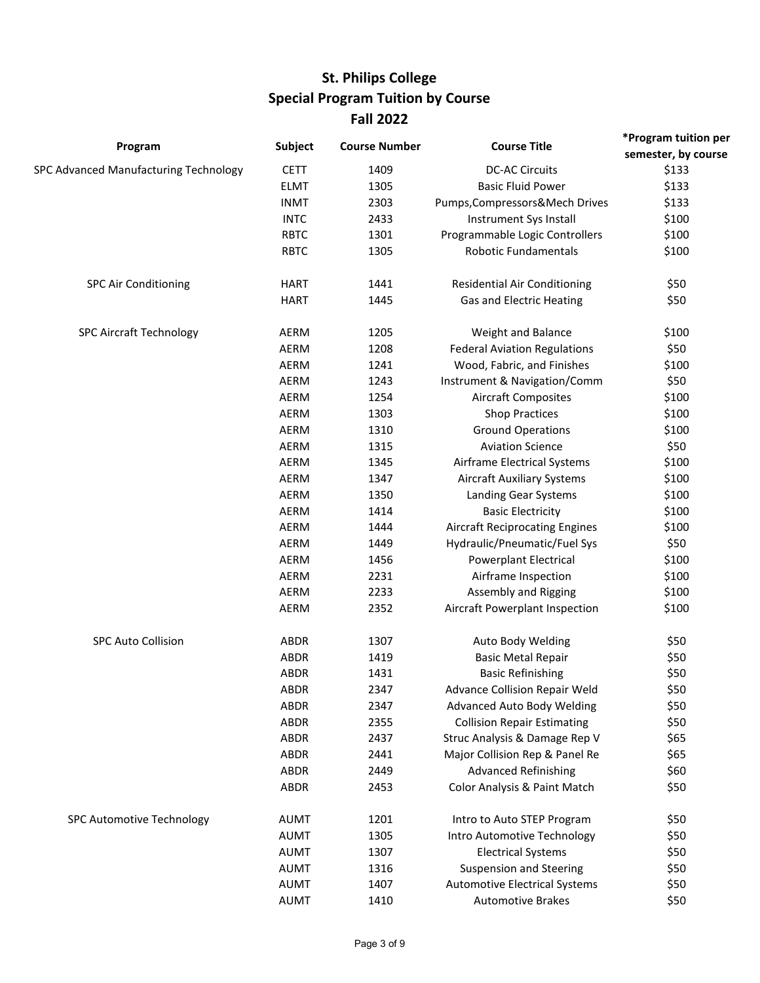# **St. Philips College Special Program Tuition by Course Fall 2022**

|                                       |                |                      |                                       | *Program tuition per |
|---------------------------------------|----------------|----------------------|---------------------------------------|----------------------|
| Program                               | <b>Subject</b> | <b>Course Number</b> | <b>Course Title</b>                   | semester, by course  |
| SPC Advanced Manufacturing Technology | <b>CETT</b>    | 1409                 | <b>DC-AC Circuits</b>                 | \$133                |
|                                       | <b>ELMT</b>    | 1305                 | <b>Basic Fluid Power</b>              | \$133                |
|                                       | <b>INMT</b>    | 2303                 | Pumps, Compressors & Mech Drives      | \$133                |
|                                       | <b>INTC</b>    | 2433                 | Instrument Sys Install                | \$100                |
|                                       | <b>RBTC</b>    | 1301                 | Programmable Logic Controllers        | \$100                |
|                                       | <b>RBTC</b>    | 1305                 | <b>Robotic Fundamentals</b>           | \$100                |
| <b>SPC Air Conditioning</b>           | <b>HART</b>    | 1441                 | <b>Residential Air Conditioning</b>   | \$50                 |
|                                       | <b>HART</b>    | 1445                 | Gas and Electric Heating              | \$50                 |
| <b>SPC Aircraft Technology</b>        | AERM           | 1205                 | Weight and Balance                    | \$100                |
|                                       | AERM           | 1208                 | <b>Federal Aviation Regulations</b>   | \$50                 |
|                                       | AERM           | 1241                 | Wood, Fabric, and Finishes            | \$100                |
|                                       | <b>AERM</b>    | 1243                 | Instrument & Navigation/Comm          | \$50                 |
|                                       | AERM           | 1254                 | <b>Aircraft Composites</b>            | \$100                |
|                                       | AERM           | 1303                 | <b>Shop Practices</b>                 | \$100                |
|                                       | <b>AERM</b>    | 1310                 | <b>Ground Operations</b>              | \$100                |
|                                       | AERM           | 1315                 | <b>Aviation Science</b>               | \$50                 |
|                                       | AERM           | 1345                 | Airframe Electrical Systems           | \$100                |
|                                       | AERM           | 1347                 | <b>Aircraft Auxiliary Systems</b>     | \$100                |
|                                       | AERM           | 1350                 | Landing Gear Systems                  | \$100                |
|                                       | AERM           | 1414                 | <b>Basic Electricity</b>              | \$100                |
|                                       | AERM           | 1444                 | <b>Aircraft Reciprocating Engines</b> | \$100                |
|                                       | AERM           | 1449                 | Hydraulic/Pneumatic/Fuel Sys          | \$50                 |
|                                       | AERM           | 1456                 | <b>Powerplant Electrical</b>          | \$100                |
|                                       | AERM           | 2231                 | Airframe Inspection                   | \$100                |
|                                       | AERM           | 2233                 | Assembly and Rigging                  | \$100                |
|                                       | AERM           | 2352                 | Aircraft Powerplant Inspection        | \$100                |
| <b>SPC Auto Collision</b>             | <b>ABDR</b>    | 1307                 | Auto Body Welding                     | \$50                 |
|                                       | ABDR           | 1419                 | <b>Basic Metal Repair</b>             | \$50                 |
|                                       | <b>ABDR</b>    | 1431                 | <b>Basic Refinishing</b>              | \$50                 |
|                                       | <b>ABDR</b>    | 2347                 | Advance Collision Repair Weld         | \$50                 |
|                                       | <b>ABDR</b>    | 2347                 | Advanced Auto Body Welding            | \$50                 |
|                                       | ABDR           | 2355                 | <b>Collision Repair Estimating</b>    | \$50                 |
|                                       | ABDR           | 2437                 | Struc Analysis & Damage Rep V         | \$65                 |
|                                       | <b>ABDR</b>    | 2441                 | Major Collision Rep & Panel Re        | \$65                 |
|                                       | <b>ABDR</b>    | 2449                 | <b>Advanced Refinishing</b>           | \$60                 |
|                                       | ABDR           | 2453                 | Color Analysis & Paint Match          | \$50                 |
| SPC Automotive Technology             | <b>AUMT</b>    | 1201                 | Intro to Auto STEP Program            | \$50                 |
|                                       | <b>AUMT</b>    | 1305                 | Intro Automotive Technology           | \$50                 |
|                                       | <b>AUMT</b>    | 1307                 | <b>Electrical Systems</b>             | \$50                 |
|                                       | <b>AUMT</b>    | 1316                 | <b>Suspension and Steering</b>        | \$50                 |
|                                       | <b>AUMT</b>    | 1407                 | <b>Automotive Electrical Systems</b>  | \$50                 |
|                                       | <b>AUMT</b>    | 1410                 | <b>Automotive Brakes</b>              | \$50                 |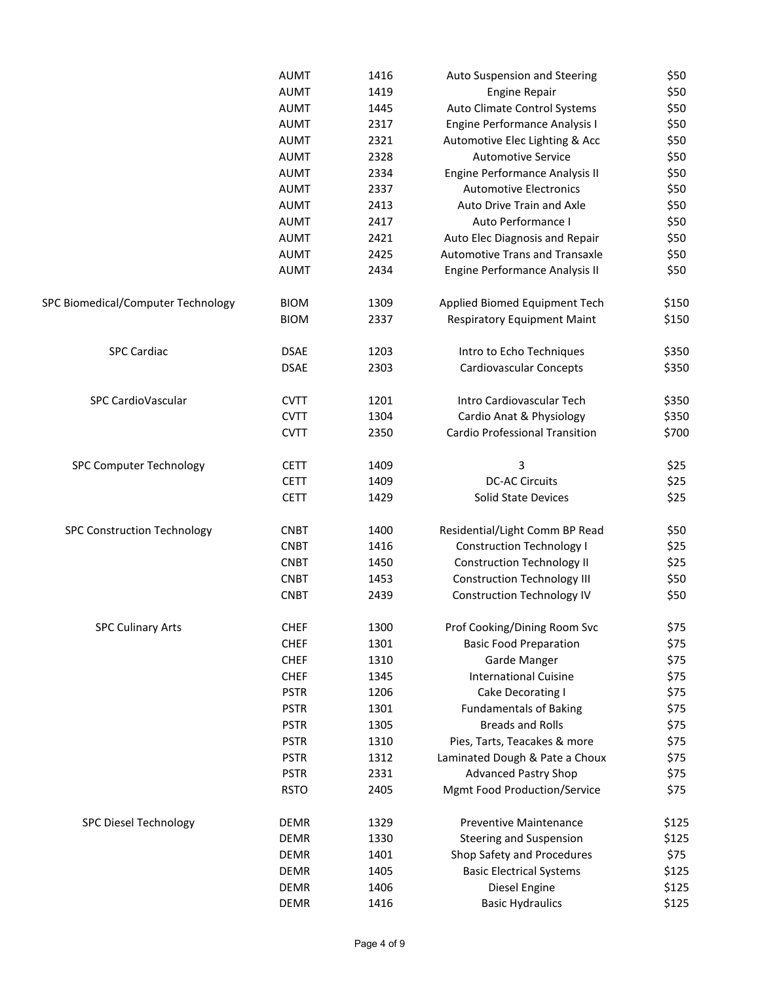|                                    | <b>AUMT</b> | 1416 | Auto Suspension and Steering          | \$50  |
|------------------------------------|-------------|------|---------------------------------------|-------|
|                                    | <b>AUMT</b> | 1419 | <b>Engine Repair</b>                  | \$50  |
|                                    | <b>AUMT</b> | 1445 | Auto Climate Control Systems          | \$50  |
|                                    | <b>AUMT</b> | 2317 | Engine Performance Analysis I         | \$50  |
|                                    | <b>AUMT</b> | 2321 | Automotive Elec Lighting & Acc        | \$50  |
|                                    | <b>AUMT</b> | 2328 | <b>Automotive Service</b>             | \$50  |
|                                    | <b>AUMT</b> | 2334 | Engine Performance Analysis II        | \$50  |
|                                    | <b>AUMT</b> | 2337 | <b>Automotive Electronics</b>         | \$50  |
|                                    | <b>AUMT</b> | 2413 | Auto Drive Train and Axle             | \$50  |
|                                    | <b>AUMT</b> | 2417 | Auto Performance I                    | \$50  |
|                                    | <b>AUMT</b> | 2421 | Auto Elec Diagnosis and Repair        | \$50  |
|                                    | <b>AUMT</b> | 2425 | <b>Automotive Trans and Transaxle</b> | \$50  |
|                                    | <b>AUMT</b> | 2434 | Engine Performance Analysis II        | \$50  |
| SPC Biomedical/Computer Technology | <b>BIOM</b> | 1309 | Applied Biomed Equipment Tech         | \$150 |
|                                    | <b>BIOM</b> | 2337 | <b>Respiratory Equipment Maint</b>    | \$150 |
| <b>SPC Cardiac</b>                 | <b>DSAE</b> | 1203 | Intro to Echo Techniques              | \$350 |
|                                    | <b>DSAE</b> | 2303 | Cardiovascular Concepts               | \$350 |
| SPC CardioVascular                 | <b>CVTT</b> | 1201 | Intro Cardiovascular Tech             | \$350 |
|                                    | <b>CVTT</b> | 1304 | Cardio Anat & Physiology              | \$350 |
|                                    | <b>CVTT</b> | 2350 | <b>Cardio Professional Transition</b> | \$700 |
| <b>SPC Computer Technology</b>     | <b>CETT</b> | 1409 | 3                                     | \$25  |
|                                    | <b>CETT</b> | 1409 | <b>DC-AC Circuits</b>                 | \$25  |
|                                    | <b>CETT</b> | 1429 | Solid State Devices                   | \$25  |
| <b>SPC Construction Technology</b> | <b>CNBT</b> | 1400 | Residential/Light Comm BP Read        | \$50  |
|                                    | <b>CNBT</b> | 1416 | <b>Construction Technology I</b>      | \$25  |
|                                    | <b>CNBT</b> | 1450 | <b>Construction Technology II</b>     | \$25  |
|                                    | <b>CNBT</b> | 1453 | <b>Construction Technology III</b>    | \$50  |
|                                    | <b>CNBT</b> | 2439 | <b>Construction Technology IV</b>     | \$50  |
| <b>SPC Culinary Arts</b>           | <b>CHEF</b> | 1300 | Prof Cooking/Dining Room Svc          | \$75  |
|                                    | <b>CHEF</b> | 1301 | <b>Basic Food Preparation</b>         | \$75  |
|                                    | <b>CHEF</b> | 1310 | Garde Manger                          | \$75  |
|                                    | <b>CHEF</b> | 1345 | <b>International Cuisine</b>          | \$75  |
|                                    | <b>PSTR</b> | 1206 | Cake Decorating I                     | \$75  |
|                                    | <b>PSTR</b> | 1301 | <b>Fundamentals of Baking</b>         | \$75  |
|                                    | <b>PSTR</b> | 1305 | <b>Breads and Rolls</b>               | \$75  |
|                                    | <b>PSTR</b> | 1310 | Pies, Tarts, Teacakes & more          | \$75  |
|                                    | <b>PSTR</b> | 1312 | Laminated Dough & Pate a Choux        | \$75  |
|                                    | <b>PSTR</b> | 2331 | <b>Advanced Pastry Shop</b>           | \$75  |
|                                    | <b>RSTO</b> | 2405 | Mgmt Food Production/Service          | \$75  |
| <b>SPC Diesel Technology</b>       | <b>DEMR</b> | 1329 | <b>Preventive Maintenance</b>         | \$125 |
|                                    | <b>DEMR</b> | 1330 | <b>Steering and Suspension</b>        | \$125 |
|                                    | <b>DEMR</b> | 1401 | Shop Safety and Procedures            | \$75  |
|                                    | <b>DEMR</b> | 1405 | <b>Basic Electrical Systems</b>       | \$125 |
|                                    | <b>DEMR</b> | 1406 | Diesel Engine                         | \$125 |
|                                    | <b>DEMR</b> | 1416 | <b>Basic Hydraulics</b>               | \$125 |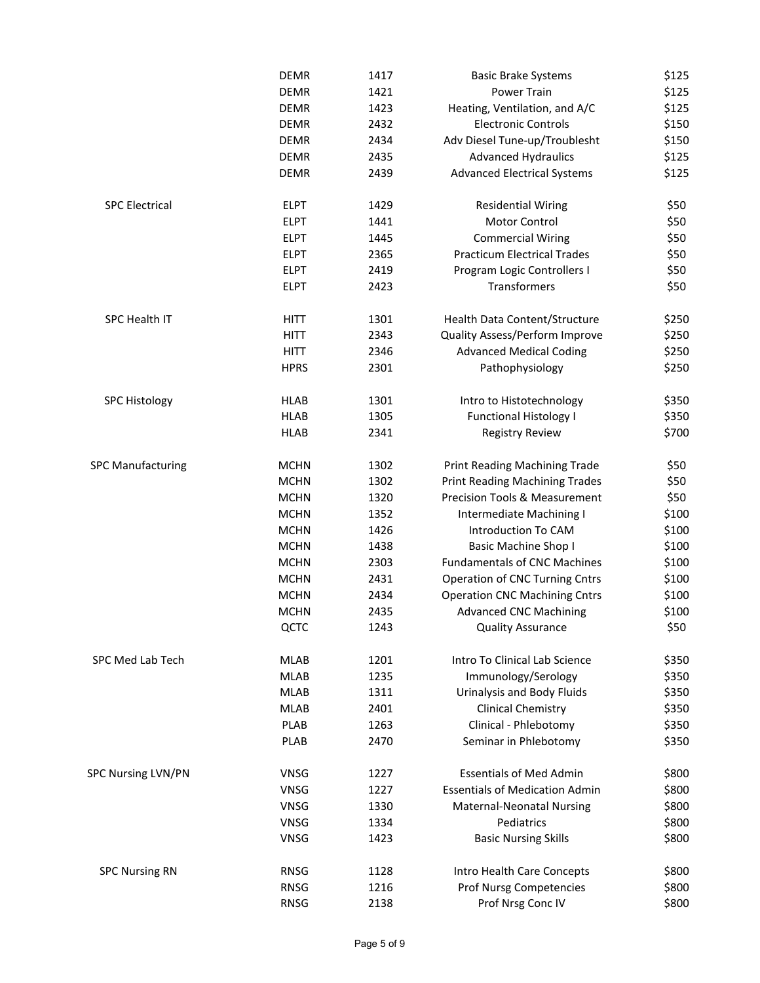|                           | <b>DEMR</b> | 1417 | <b>Basic Brake Systems</b>            | \$125 |
|---------------------------|-------------|------|---------------------------------------|-------|
|                           | <b>DEMR</b> | 1421 | <b>Power Train</b>                    | \$125 |
|                           | <b>DEMR</b> | 1423 | Heating, Ventilation, and A/C         | \$125 |
|                           | <b>DEMR</b> | 2432 | <b>Electronic Controls</b>            | \$150 |
|                           | <b>DEMR</b> | 2434 | Adv Diesel Tune-up/Troublesht         | \$150 |
|                           | <b>DEMR</b> | 2435 | <b>Advanced Hydraulics</b>            | \$125 |
|                           | <b>DEMR</b> | 2439 | <b>Advanced Electrical Systems</b>    | \$125 |
| <b>SPC Electrical</b>     | <b>ELPT</b> | 1429 | <b>Residential Wiring</b>             | \$50  |
|                           | <b>ELPT</b> | 1441 | Motor Control                         | \$50  |
|                           | <b>ELPT</b> | 1445 | <b>Commercial Wiring</b>              | \$50  |
|                           | <b>ELPT</b> | 2365 | <b>Practicum Electrical Trades</b>    | \$50  |
|                           | <b>ELPT</b> | 2419 | Program Logic Controllers I           | \$50  |
|                           | <b>ELPT</b> | 2423 | Transformers                          | \$50  |
| SPC Health IT             | <b>HITT</b> | 1301 | Health Data Content/Structure         | \$250 |
|                           | <b>HITT</b> | 2343 | Quality Assess/Perform Improve        | \$250 |
|                           | <b>HITT</b> | 2346 | <b>Advanced Medical Coding</b>        | \$250 |
|                           | <b>HPRS</b> | 2301 | Pathophysiology                       | \$250 |
| <b>SPC Histology</b>      | <b>HLAB</b> | 1301 | Intro to Histotechnology              | \$350 |
|                           | <b>HLAB</b> | 1305 | <b>Functional Histology I</b>         | \$350 |
|                           | <b>HLAB</b> | 2341 | <b>Registry Review</b>                | \$700 |
| <b>SPC Manufacturing</b>  | <b>MCHN</b> | 1302 | Print Reading Machining Trade         | \$50  |
|                           | <b>MCHN</b> | 1302 | <b>Print Reading Machining Trades</b> | \$50  |
|                           | <b>MCHN</b> | 1320 | Precision Tools & Measurement         | \$50  |
|                           | <b>MCHN</b> | 1352 | Intermediate Machining I              | \$100 |
|                           | <b>MCHN</b> | 1426 | Introduction To CAM                   | \$100 |
|                           | <b>MCHN</b> | 1438 | <b>Basic Machine Shop I</b>           | \$100 |
|                           | <b>MCHN</b> | 2303 | <b>Fundamentals of CNC Machines</b>   | \$100 |
|                           | <b>MCHN</b> | 2431 | <b>Operation of CNC Turning Cntrs</b> | \$100 |
|                           | <b>MCHN</b> | 2434 | <b>Operation CNC Machining Cntrs</b>  | \$100 |
|                           | <b>MCHN</b> | 2435 | <b>Advanced CNC Machining</b>         | \$100 |
|                           | QCTC        | 1243 | <b>Quality Assurance</b>              | \$50  |
| SPC Med Lab Tech          | <b>MLAB</b> | 1201 | Intro To Clinical Lab Science         | \$350 |
|                           | <b>MLAB</b> | 1235 | Immunology/Serology                   | \$350 |
|                           | <b>MLAB</b> | 1311 | Urinalysis and Body Fluids            | \$350 |
|                           | <b>MLAB</b> | 2401 | <b>Clinical Chemistry</b>             | \$350 |
|                           | <b>PLAB</b> | 1263 | Clinical - Phlebotomy                 | \$350 |
|                           | <b>PLAB</b> | 2470 | Seminar in Phlebotomy                 | \$350 |
| <b>SPC Nursing LVN/PN</b> | <b>VNSG</b> | 1227 | <b>Essentials of Med Admin</b>        | \$800 |
|                           | <b>VNSG</b> | 1227 | <b>Essentials of Medication Admin</b> | \$800 |
|                           | VNSG        | 1330 | Maternal-Neonatal Nursing             | \$800 |
|                           | VNSG        | 1334 | Pediatrics                            | \$800 |
|                           | VNSG        | 1423 | <b>Basic Nursing Skills</b>           | \$800 |
| <b>SPC Nursing RN</b>     | <b>RNSG</b> | 1128 | Intro Health Care Concepts            | \$800 |
|                           | <b>RNSG</b> | 1216 | <b>Prof Nursg Competencies</b>        | \$800 |
|                           | RNSG        | 2138 | Prof Nrsg Conc IV                     | \$800 |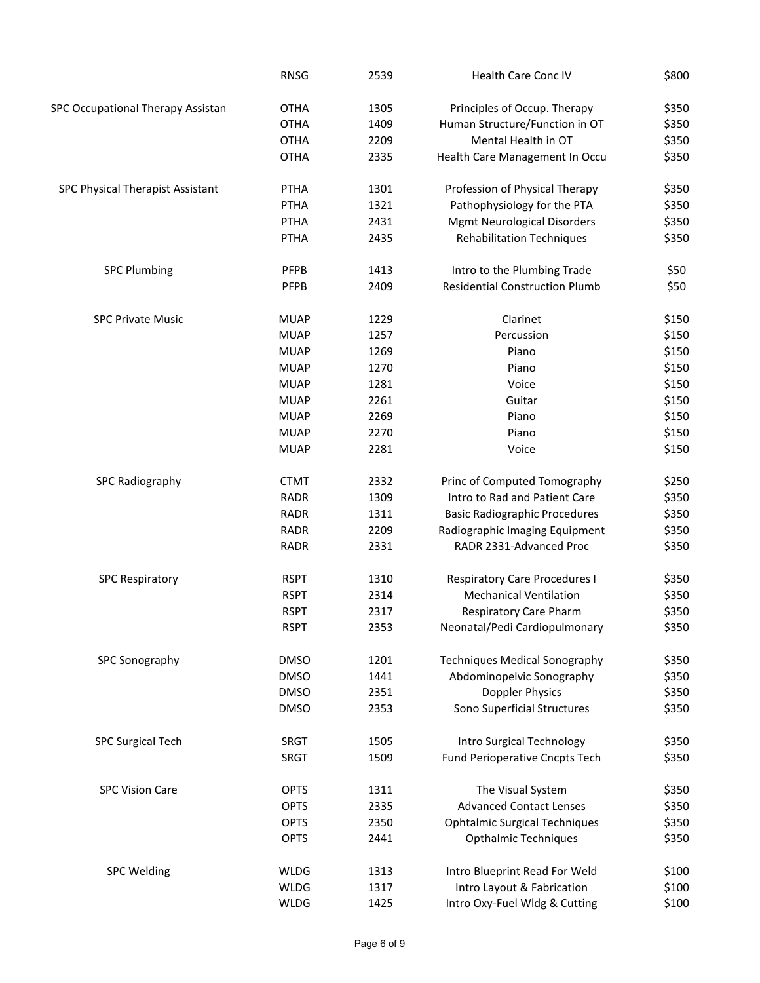|                                   | <b>RNSG</b>                | 2539         | Health Care Conc IV                                               | \$800          |
|-----------------------------------|----------------------------|--------------|-------------------------------------------------------------------|----------------|
| SPC Occupational Therapy Assistan | <b>OTHA</b>                | 1305         | Principles of Occup. Therapy                                      | \$350          |
|                                   | <b>OTHA</b>                | 1409         | Human Structure/Function in OT                                    | \$350          |
|                                   | <b>OTHA</b>                | 2209         | Mental Health in OT                                               | \$350          |
|                                   | <b>OTHA</b>                | 2335         | Health Care Management In Occu                                    | \$350          |
| SPC Physical Therapist Assistant  | <b>PTHA</b>                | 1301         | Profession of Physical Therapy                                    | \$350          |
|                                   | PTHA                       | 1321         | Pathophysiology for the PTA                                       | \$350          |
|                                   | <b>PTHA</b>                | 2431         | <b>Mgmt Neurological Disorders</b>                                | \$350          |
|                                   | PTHA                       | 2435         | <b>Rehabilitation Techniques</b>                                  | \$350          |
| <b>SPC Plumbing</b>               | <b>PFPB</b>                | 1413         | Intro to the Plumbing Trade                                       | \$50           |
|                                   | PFPB                       | 2409         | <b>Residential Construction Plumb</b>                             | \$50           |
| <b>SPC Private Music</b>          | <b>MUAP</b>                | 1229         | Clarinet                                                          | \$150          |
|                                   | <b>MUAP</b>                | 1257         | Percussion                                                        | \$150          |
|                                   | <b>MUAP</b>                | 1269         | Piano                                                             | \$150          |
|                                   | <b>MUAP</b>                | 1270         | Piano                                                             | \$150          |
|                                   | <b>MUAP</b>                | 1281         | Voice                                                             | \$150          |
|                                   | <b>MUAP</b>                | 2261         | Guitar                                                            | \$150          |
|                                   | <b>MUAP</b>                | 2269         | Piano                                                             | \$150          |
|                                   | <b>MUAP</b>                | 2270         | Piano                                                             | \$150          |
|                                   | <b>MUAP</b>                | 2281         | Voice                                                             | \$150          |
| <b>SPC Radiography</b>            | <b>CTMT</b>                | 2332         | Princ of Computed Tomography                                      | \$250          |
|                                   | <b>RADR</b>                | 1309         | Intro to Rad and Patient Care                                     | \$350          |
|                                   | <b>RADR</b>                | 1311         | <b>Basic Radiographic Procedures</b>                              | \$350          |
|                                   | <b>RADR</b><br><b>RADR</b> | 2209<br>2331 | Radiographic Imaging Equipment<br>RADR 2331-Advanced Proc         | \$350<br>\$350 |
|                                   |                            |              |                                                                   |                |
| <b>SPC Respiratory</b>            | <b>RSPT</b>                | 1310         | <b>Respiratory Care Procedures I</b>                              | \$350          |
|                                   | <b>RSPT</b>                | 2314         | <b>Mechanical Ventilation</b>                                     | \$350          |
|                                   | <b>RSPT</b><br><b>RSPT</b> | 2317<br>2353 | <b>Respiratory Care Pharm</b><br>Neonatal/Pedi Cardiopulmonary    | \$350<br>\$350 |
|                                   |                            |              |                                                                   |                |
| SPC Sonography                    | <b>DMSO</b><br><b>DMSO</b> | 1201<br>1441 | <b>Techniques Medical Sonography</b><br>Abdominopelvic Sonography | \$350          |
|                                   | <b>DMSO</b>                | 2351         | Doppler Physics                                                   | \$350<br>\$350 |
|                                   | <b>DMSO</b>                | 2353         | Sono Superficial Structures                                       | \$350          |
| <b>SPC Surgical Tech</b>          | SRGT                       | 1505         | Intro Surgical Technology                                         | \$350          |
|                                   | <b>SRGT</b>                | 1509         | <b>Fund Perioperative Cncpts Tech</b>                             | \$350          |
| <b>SPC Vision Care</b>            | <b>OPTS</b>                | 1311         | The Visual System                                                 | \$350          |
|                                   | <b>OPTS</b>                | 2335         | <b>Advanced Contact Lenses</b>                                    | \$350          |
|                                   | <b>OPTS</b>                | 2350         | <b>Ophtalmic Surgical Techniques</b>                              | \$350          |
|                                   | <b>OPTS</b>                | 2441         | <b>Opthalmic Techniques</b>                                       | \$350          |
| <b>SPC Welding</b>                | WLDG                       | 1313         | Intro Blueprint Read For Weld                                     | \$100          |
|                                   | <b>WLDG</b>                | 1317         | Intro Layout & Fabrication                                        | \$100          |
|                                   | <b>WLDG</b>                | 1425         | Intro Oxy-Fuel Wldg & Cutting                                     | \$100          |
|                                   |                            |              |                                                                   |                |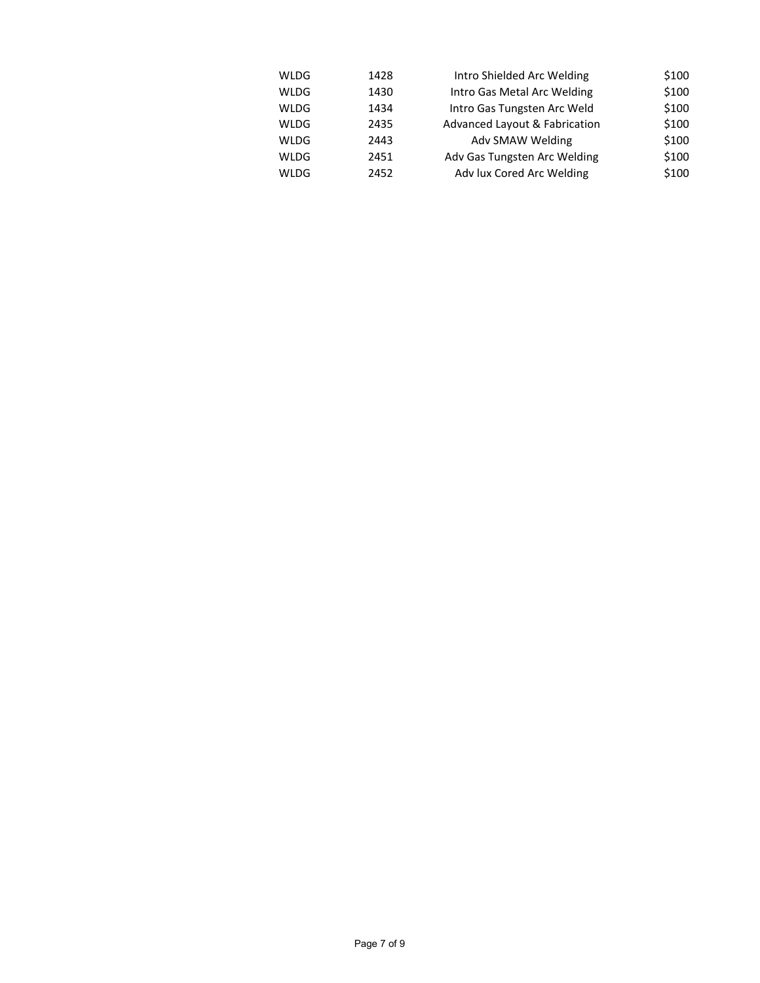| WLDG        | 1428 | Intro Shielded Arc Welding    | \$100 |
|-------------|------|-------------------------------|-------|
| <b>WLDG</b> | 1430 | Intro Gas Metal Arc Welding   | \$100 |
| WLDG        | 1434 | Intro Gas Tungsten Arc Weld   | \$100 |
| <b>WLDG</b> | 2435 | Advanced Layout & Fabrication | \$100 |
| WLDG        | 2443 | Adv SMAW Welding              | \$100 |
| <b>WLDG</b> | 2451 | Adv Gas Tungsten Arc Welding  | \$100 |
| WLDG        | 2452 | Adv lux Cored Arc Welding     | \$100 |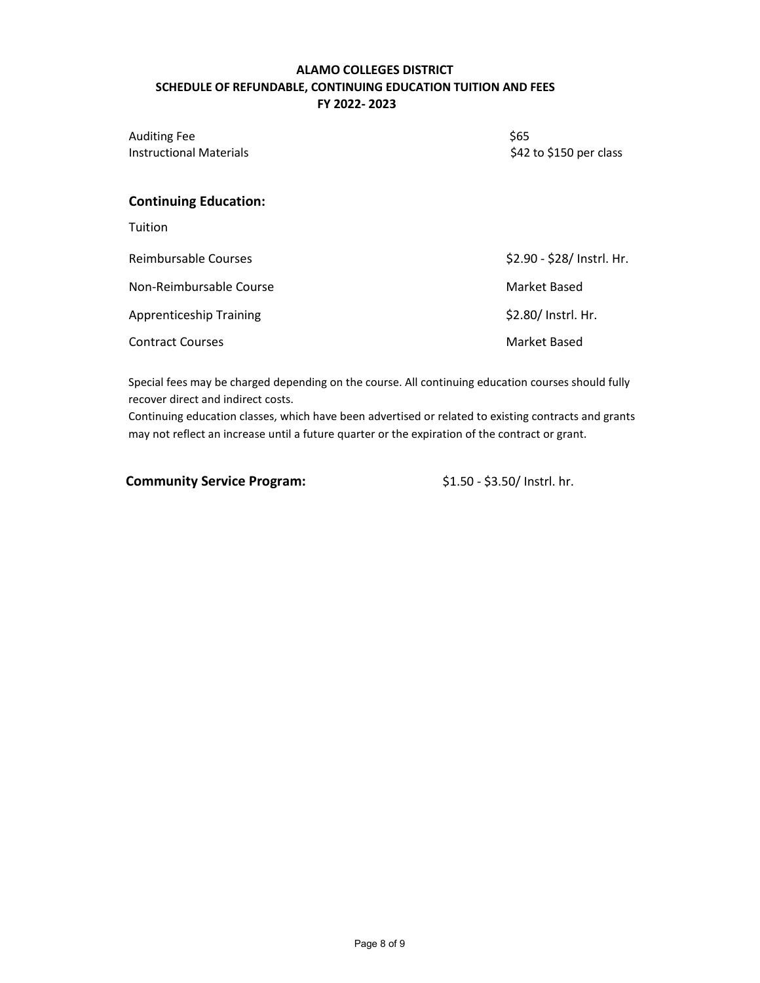# **ALAMO COLLEGES DISTRICT SCHEDULE OF REFUNDABLE, CONTINUING EDUCATION TUITION AND FEES FY 2022- 2023**

Auditing Fee \$65 Instructional Materials

\$42 to \$150 per class

# **Continuing Education:**

Tuition

| Reimbursable Courses           | \$2.90 - \$28/ Instrl. Hr. |
|--------------------------------|----------------------------|
| Non-Reimbursable Course        | Market Based               |
| <b>Apprenticeship Training</b> | \$2.80/ Instrl. Hr.        |
| <b>Contract Courses</b>        | Market Based               |

Special fees may be charged depending on the course. All continuing education courses should fully recover direct and indirect costs.

Continuing education classes, which have been advertised or related to existing contracts and grants may not reflect an increase until a future quarter or the expiration of the contract or grant.

**Community Service Program:**  $$1.50 - $3.50/$  Instrl. hr.